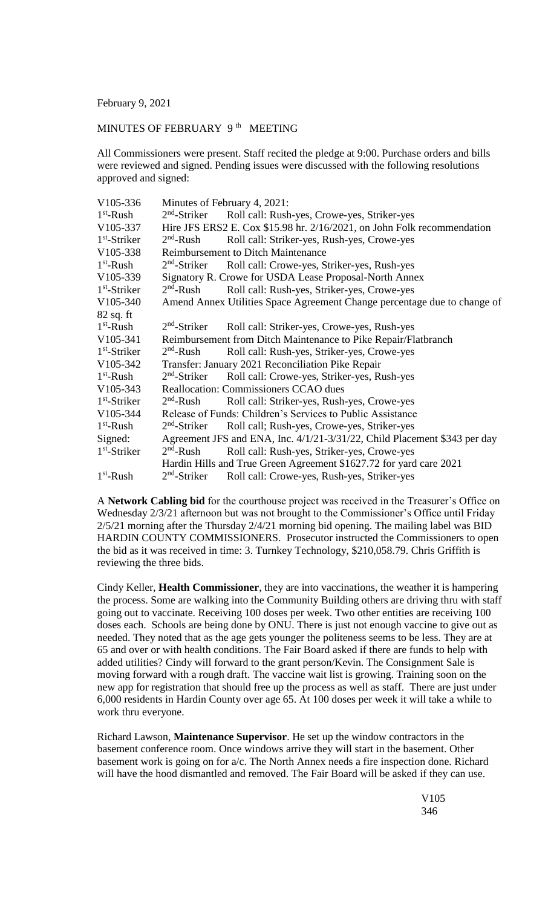February 9, 2021

## MINUTES OF FEBRUARY  $9<sup>th</sup>$  MEETING

All Commissioners were present. Staff recited the pledge at 9:00. Purchase orders and bills were reviewed and signed. Pending issues were discussed with the following resolutions approved and signed:

| V105-336       | Minutes of February 4, 2021:                                              |                                             |
|----------------|---------------------------------------------------------------------------|---------------------------------------------|
| $1st$ -Rush    | $2nd$ -Striker                                                            | Roll call: Rush-yes, Crowe-yes, Striker-yes |
| V105-337       | Hire JFS ERS2 E. Cox \$15.98 hr. 2/16/2021, on John Folk recommendation   |                                             |
| $1st$ -Striker | $2nd$ -Rush                                                               | Roll call: Striker-yes, Rush-yes, Crowe-yes |
| V105-338       | <b>Reimbursement to Ditch Maintenance</b>                                 |                                             |
| $1st$ -Rush    | $2nd$ -Striker                                                            | Roll call: Crowe-yes, Striker-yes, Rush-yes |
| V105-339       | Signatory R. Crowe for USDA Lease Proposal-North Annex                    |                                             |
| $1st$ -Striker | $2nd$ -Rush                                                               | Roll call: Rush-yes, Striker-yes, Crowe-yes |
| $V105-340$     | Amend Annex Utilities Space Agreement Change percentage due to change of  |                                             |
| $82$ sq. ft    |                                                                           |                                             |
| $1st$ -Rush    | $2nd$ -Striker                                                            | Roll call: Striker-yes, Crowe-yes, Rush-yes |
| V105-341       | Reimbursement from Ditch Maintenance to Pike Repair/Flatbranch            |                                             |
| $1st$ -Striker | $2nd$ -Rush                                                               | Roll call: Rush-yes, Striker-yes, Crowe-yes |
| V105-342       | Transfer: January 2021 Reconciliation Pike Repair                         |                                             |
| $1st$ -Rush    | $2nd$ -Striker                                                            | Roll call: Crowe-yes, Striker-yes, Rush-yes |
| $V105-343$     | <b>Reallocation: Commissioners CCAO dues</b>                              |                                             |
| $1st$ -Striker | $2nd$ -Rush                                                               | Roll call: Striker-yes, Rush-yes, Crowe-yes |
| V105-344       | Release of Funds: Children's Services to Public Assistance                |                                             |
| $1st$ -Rush    | $2nd$ -Striker                                                            | Roll call; Rush-yes, Crowe-yes, Striker-yes |
| Signed:        | Agreement JFS and ENA, Inc. 4/1/21-3/31/22, Child Placement \$343 per day |                                             |
| $1st$ -Striker | $2nd$ -Rush                                                               | Roll call: Rush-yes, Striker-yes, Crowe-yes |
|                | Hardin Hills and True Green Agreement \$1627.72 for yard care 2021        |                                             |
| $1st$ -Rush    | $2nd$ -Striker                                                            | Roll call: Crowe-yes, Rush-yes, Striker-yes |

A **Network Cabling bid** for the courthouse project was received in the Treasurer's Office on Wednesday 2/3/21 afternoon but was not brought to the Commissioner's Office until Friday 2/5/21 morning after the Thursday 2/4/21 morning bid opening. The mailing label was BID HARDIN COUNTY COMMISSIONERS. Prosecutor instructed the Commissioners to open the bid as it was received in time: 3. Turnkey Technology, \$210,058.79. Chris Griffith is reviewing the three bids.

Cindy Keller, **Health Commissioner**, they are into vaccinations, the weather it is hampering the process. Some are walking into the Community Building others are driving thru with staff going out to vaccinate. Receiving 100 doses per week. Two other entities are receiving 100 doses each. Schools are being done by ONU. There is just not enough vaccine to give out as needed. They noted that as the age gets younger the politeness seems to be less. They are at 65 and over or with health conditions. The Fair Board asked if there are funds to help with added utilities? Cindy will forward to the grant person/Kevin. The Consignment Sale is moving forward with a rough draft. The vaccine wait list is growing. Training soon on the new app for registration that should free up the process as well as staff. There are just under 6,000 residents in Hardin County over age 65. At 100 doses per week it will take a while to work thru everyone.

Richard Lawson, **Maintenance Supervisor**. He set up the window contractors in the basement conference room. Once windows arrive they will start in the basement. Other basement work is going on for a/c. The North Annex needs a fire inspection done. Richard will have the hood dismantled and removed. The Fair Board will be asked if they can use.

> V105 346